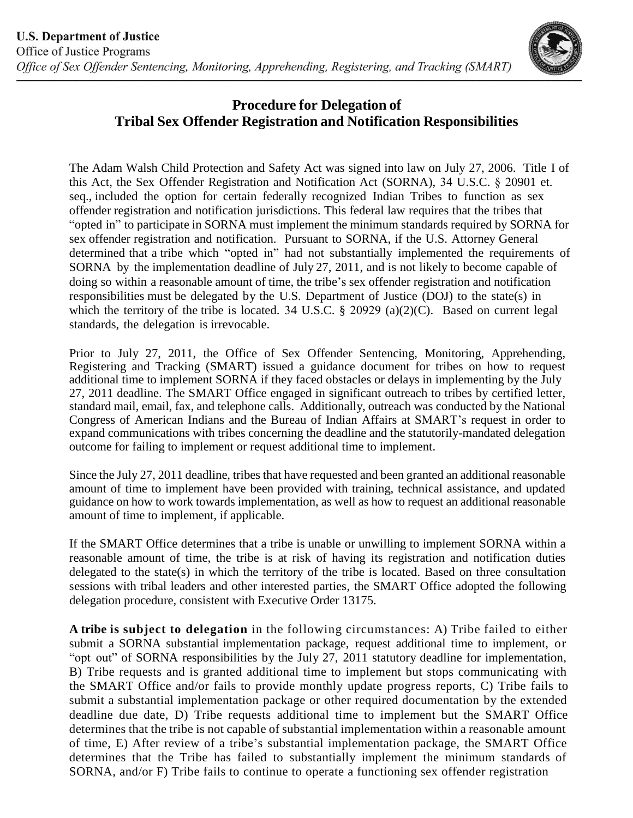

## **Procedure for Delegation of Tribal Sex Offender Registration and Notification Responsibilities**

The Adam Walsh Child Protection and Safety Act was signed into law on July 27, 2006. Title I of this Act, the Sex Offender Registration and Notification Act (SORNA), 34 U.S.C. § 20901 et. seq., included the option for certain federally recognized Indian Tribes to function as sex offender registration and notification jurisdictions. This federal law requires that the tribes that "opted in" to participate in SORNA must implement the minimum standards required by SORNA for sex offender registration and notification. Pursuant to SORNA, if the U.S. Attorney General determined that a tribe which "opted in" had not substantially implemented the requirements of SORNA by the implementation deadline of July 27, 2011, and is not likely to become capable of doing so within a reasonable amount of time, the tribe's sex offender registration and notification responsibilities must be delegated by the U.S. Department of Justice (DOJ) to the state(s) in which the territory of the tribe is located. 34 U.S.C. § 20929 (a)(2)(C). Based on current legal standards, the delegation is irrevocable.

 Prior to July 27, 2011, the Office of Sex Offender Sentencing, Monitoring, Apprehending, Registering and Tracking (SMART) issued a guidance document for tribes on how to request 27, 2011 deadline. The SMART Office engaged in significant outreach to tribes by certified letter, standard mail, email, fax, and telephone calls. Additionally, outreach was conducted by the National Congress of American Indians and the Bureau of Indian Affairs at SMART's request in order to expand communications with tribes concerning the deadline and the statutorily-mandated delegation additional time to implement SORNA if they faced obstacles or delays in implementing by the July outcome for failing to implement or request additional time to implement.

 Since the July 27, 2011 deadline, tribes that have requested and been granted an additional reasonable amount of time to implement have been provided with training, technical assistance, and updated guidance on how to work towards implementation, as well as how to request an additional reasonable amount of time to implement, if applicable.

 If the SMART Office determines that a tribe is unable or unwilling to implement SORNA within a reasonable amount of time, the tribe is at risk of having its registration and notification duties delegated to the state(s) in which the territory of the tribe is located. Based on three consultation sessions with tribal leaders and other interested parties, the SMART Office adopted the following delegation procedure, consistent with Executive Order 13175.

 **A tribe is subject to delegation** in the following circumstances: A) Tribe failed to either submit a SORNA substantial implementation package, request additional time to implement, or "opt out" of SORNA responsibilities by the July 27, 2011 statutory deadline for implementation, B) Tribe requests and is granted additional time to implement but stops communicating with the SMART Office and/or fails to provide monthly update progress reports, C) Tribe fails to submit a substantial implementation package or other required documentation by the extended deadline due date, D) Tribe requests additional time to implement but the SMART Office determines that the tribe is not capable of substantial implementation within a reasonable amount of time, E) After review of a tribe's substantial implementation package, the SMART Office determines that the Tribe has failed to substantially implement the minimum standards of SORNA, and/or F) Tribe fails to continue to operate a functioning sex offender registration